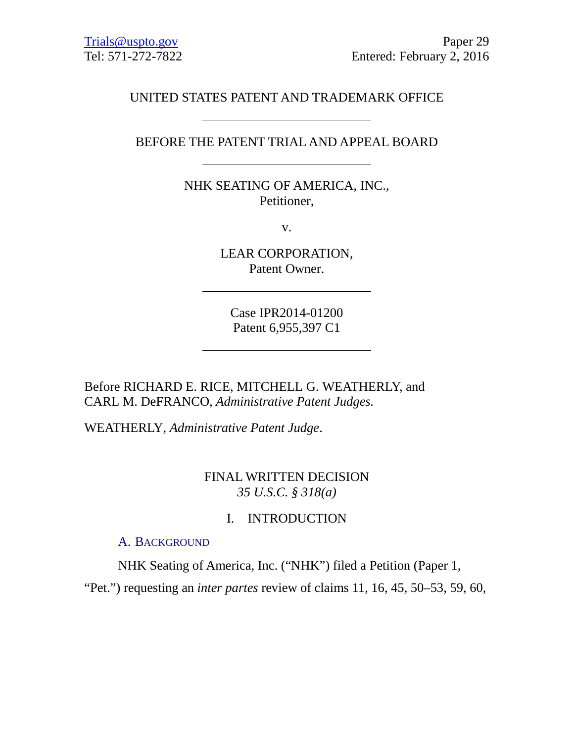# UNITED STATES PATENT AND TRADEMARK OFFICE

### BEFORE THE PATENT TRIAL AND APPEAL BOARD

NHK SEATING OF AMERICA, INC., Petitioner,

v.

LEAR CORPORATION, Patent Owner.

Case IPR2014-01200 Patent 6,955,397 C1

Before RICHARD E. RICE, MITCHELL G. WEATHERLY, and CARL M. DeFRANCO, *Administrative Patent Judges.*

WEATHERLY, *Administrative Patent Judge*.

## FINAL WRITTEN DECISION *35 U.S.C. § 318(a)*

## I. INTRODUCTION

#### A. BACKGROUND

NHK Seating of America, Inc. ("NHK") filed a Petition (Paper 1,

"Pet.") requesting an *inter partes* review of claims 11, 16, 45, 50–53, 59, 60,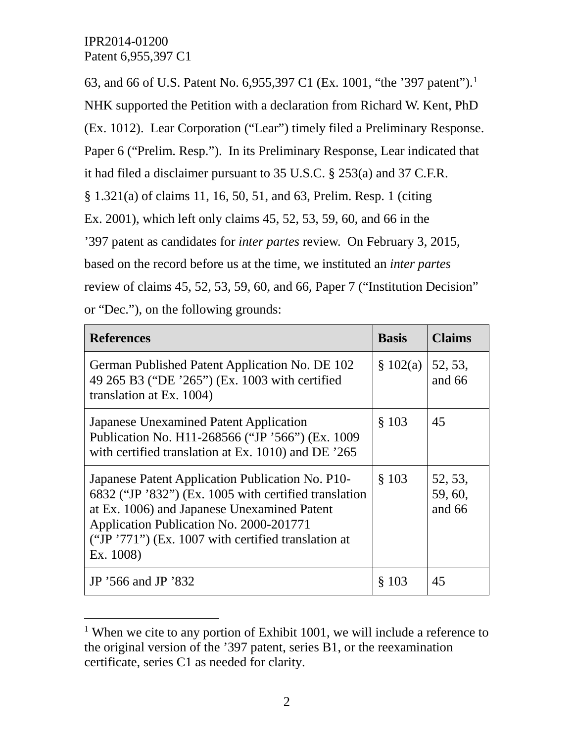63, and 66 of U.S. Patent No. 6,955,397 C[1](#page-1-0) (Ex. 1001, "the '397 patent").<sup>1</sup>

NHK supported the Petition with a declaration from Richard W. Kent, PhD

(Ex. 1012). Lear Corporation ("Lear") timely filed a Preliminary Response.

Paper 6 ("Prelim. Resp."). In its Preliminary Response, Lear indicated that

it had filed a disclaimer pursuant to 35 U.S.C. § 253(a) and 37 C.F.R.

§ 1.321(a) of claims 11, 16, 50, 51, and 63, Prelim. Resp. 1 (citing

Ex. 2001), which left only claims 45, 52, 53, 59, 60, and 66 in the

'397 patent as candidates for *inter partes* review. On February 3, 2015,

based on the record before us at the time, we instituted an *inter partes*

review of claims 45, 52, 53, 59, 60, and 66, Paper 7 ("Institution Decision"

or "Dec."), on the following grounds:

| <b>References</b>                                                                                                                                                                                                                                                          | <b>Basis</b> | <b>Claims</b>                  |
|----------------------------------------------------------------------------------------------------------------------------------------------------------------------------------------------------------------------------------------------------------------------------|--------------|--------------------------------|
| German Published Patent Application No. DE 102<br>49 265 B3 ("DE '265") (Ex. 1003 with certified<br>translation at Ex. 1004)                                                                                                                                               | \$102(a)     | 52, 53,<br>and 66              |
| <b>Japanese Unexamined Patent Application</b><br>Publication No. H11-268566 ("JP '566") (Ex. 1009<br>with certified translation at Ex. 1010) and DE '265                                                                                                                   | \$103        | 45                             |
| Japanese Patent Application Publication No. P10-<br>6832 ("JP '832") (Ex. 1005 with certified translation<br>at Ex. 1006) and Japanese Unexamined Patent<br>Application Publication No. 2000-201771<br>("JP $'771$ ") (Ex. 1007 with certified translation at<br>Ex. 1008) | \$103        | 52, 53,<br>59, 60,<br>and $66$ |
| JP '566 and JP '832                                                                                                                                                                                                                                                        | \$103        | 45                             |

<span id="page-1-0"></span><sup>&</sup>lt;sup>1</sup> When we cite to any portion of Exhibit 1001, we will include a reference to the original version of the '397 patent, series B1, or the reexamination certificate, series C1 as needed for clarity.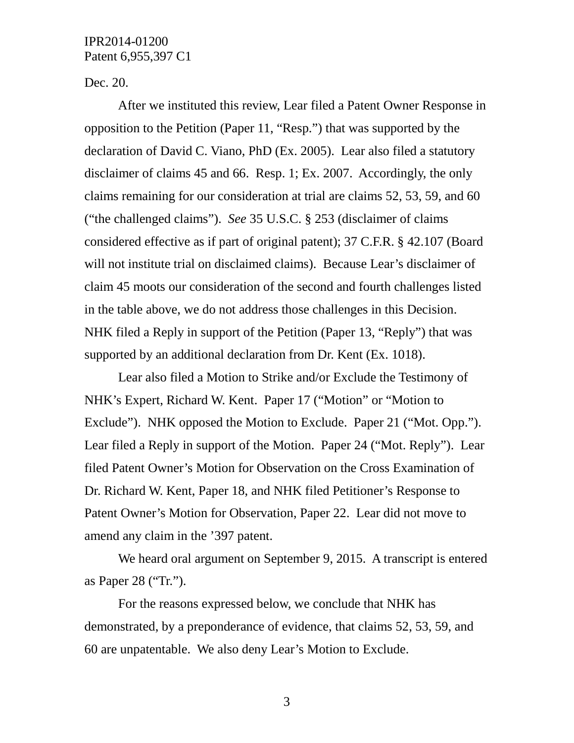Dec. 20.

After we instituted this review, Lear filed a Patent Owner Response in opposition to the Petition (Paper 11, "Resp.") that was supported by the declaration of David C. Viano, PhD (Ex. 2005). Lear also filed a statutory disclaimer of claims 45 and 66. Resp. 1; Ex. 2007. Accordingly, the only claims remaining for our consideration at trial are claims 52, 53, 59, and 60 ("the challenged claims"). *See* 35 U.S.C. § 253 (disclaimer of claims considered effective as if part of original patent); 37 C.F.R. § 42.107 (Board will not institute trial on disclaimed claims). Because Lear's disclaimer of claim 45 moots our consideration of the second and fourth challenges listed in the table above, we do not address those challenges in this Decision. NHK filed a Reply in support of the Petition (Paper 13, "Reply") that was supported by an additional declaration from Dr. Kent (Ex. 1018).

Lear also filed a Motion to Strike and/or Exclude the Testimony of NHK's Expert, Richard W. Kent. Paper 17 ("Motion" or "Motion to Exclude"). NHK opposed the Motion to Exclude. Paper 21 ("Mot. Opp."). Lear filed a Reply in support of the Motion. Paper 24 ("Mot. Reply"). Lear filed Patent Owner's Motion for Observation on the Cross Examination of Dr. Richard W. Kent, Paper 18, and NHK filed Petitioner's Response to Patent Owner's Motion for Observation, Paper 22. Lear did not move to amend any claim in the '397 patent.

We heard oral argument on September 9, 2015. A transcript is entered as Paper 28 ("Tr.").

For the reasons expressed below, we conclude that NHK has demonstrated, by a preponderance of evidence, that claims 52, 53, 59, and 60 are unpatentable. We also deny Lear's Motion to Exclude.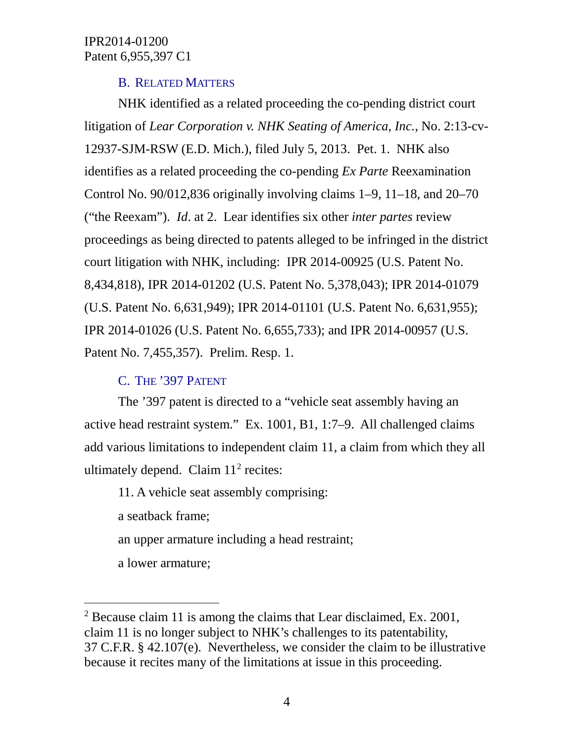## B. RELATED MATTERS

NHK identified as a related proceeding the co-pending district court litigation of *Lear Corporation v. NHK Seating of America, Inc.*, No. 2:13-cv-12937-SJM-RSW (E.D. Mich.), filed July 5, 2013. Pet. 1. NHK also identifies as a related proceeding the co-pending *Ex Parte* Reexamination Control No. 90/012,836 originally involving claims 1–9, 11–18, and 20–70 ("the Reexam"). *Id*. at 2. Lear identifies six other *inter partes* review proceedings as being directed to patents alleged to be infringed in the district court litigation with NHK, including: IPR 2014-00925 (U.S. Patent No. 8,434,818), IPR 2014-01202 (U.S. Patent No. 5,378,043); IPR 2014-01079 (U.S. Patent No. 6,631,949); IPR 2014-01101 (U.S. Patent No. 6,631,955); IPR 2014-01026 (U.S. Patent No. 6,655,733); and IPR 2014-00957 (U.S. Patent No. 7,455,357). Prelim. Resp. 1.

# C. THE '397 PATENT

The '397 patent is directed to a "vehicle seat assembly having an active head restraint system." Ex. 1001, B1, 1:7–9. All challenged claims add various limitations to independent claim 11, a claim from which they all ultimately depend. Claim  $11<sup>2</sup>$  $11<sup>2</sup>$  $11<sup>2</sup>$  recites:

11. A vehicle seat assembly comprising:

a seatback frame;

an upper armature including a head restraint;

a lower armature;

<span id="page-3-0"></span> <sup>2</sup> Because claim 11 is among the claims that Lear disclaimed, Ex. 2001, claim 11 is no longer subject to NHK's challenges to its patentability, 37 C.F.R. § 42.107(e). Nevertheless, we consider the claim to be illustrative because it recites many of the limitations at issue in this proceeding.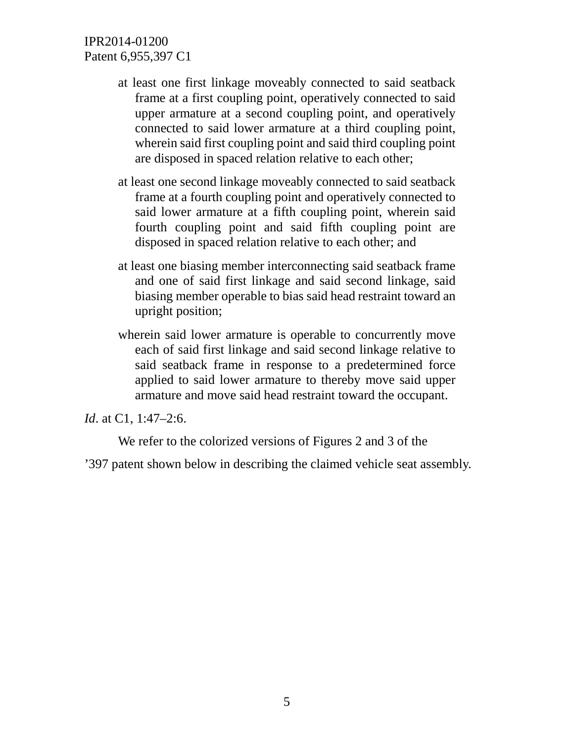- at least one first linkage moveably connected to said seatback frame at a first coupling point, operatively connected to said upper armature at a second coupling point, and operatively connected to said lower armature at a third coupling point, wherein said first coupling point and said third coupling point are disposed in spaced relation relative to each other;
- at least one second linkage moveably connected to said seatback frame at a fourth coupling point and operatively connected to said lower armature at a fifth coupling point, wherein said fourth coupling point and said fifth coupling point are disposed in spaced relation relative to each other; and
- at least one biasing member interconnecting said seatback frame and one of said first linkage and said second linkage, said biasing member operable to bias said head restraint toward an upright position;
- wherein said lower armature is operable to concurrently move each of said first linkage and said second linkage relative to said seatback frame in response to a predetermined force applied to said lower armature to thereby move said upper armature and move said head restraint toward the occupant.

*Id*. at C1, 1:47–2:6.

We refer to the colorized versions of Figures 2 and 3 of the

'397 patent shown below in describing the claimed vehicle seat assembly.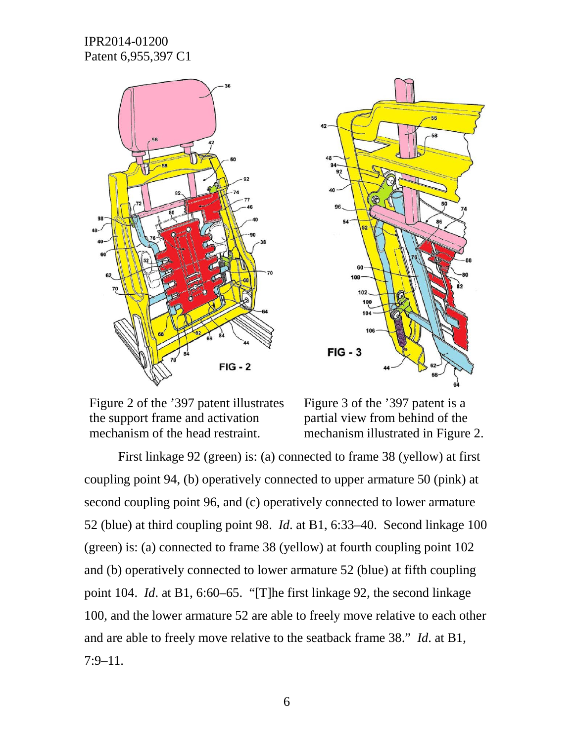



Figure 2 of the '397 patent illustrates the support frame and activation mechanism of the head restraint.

Figure 3 of the '397 patent is a partial view from behind of the mechanism illustrated in Figure 2.

First linkage 92 (green) is: (a) connected to frame 38 (yellow) at first coupling point 94, (b) operatively connected to upper armature 50 (pink) at second coupling point 96, and (c) operatively connected to lower armature 52 (blue) at third coupling point 98. *Id*. at B1, 6:33–40. Second linkage 100 (green) is: (a) connected to frame 38 (yellow) at fourth coupling point 102 and (b) operatively connected to lower armature 52 (blue) at fifth coupling point 104. *Id*. at B1, 6:60–65. "[T]he first linkage 92, the second linkage 100, and the lower armature 52 are able to freely move relative to each other and are able to freely move relative to the seatback frame 38." *Id*. at B1, 7:9–11.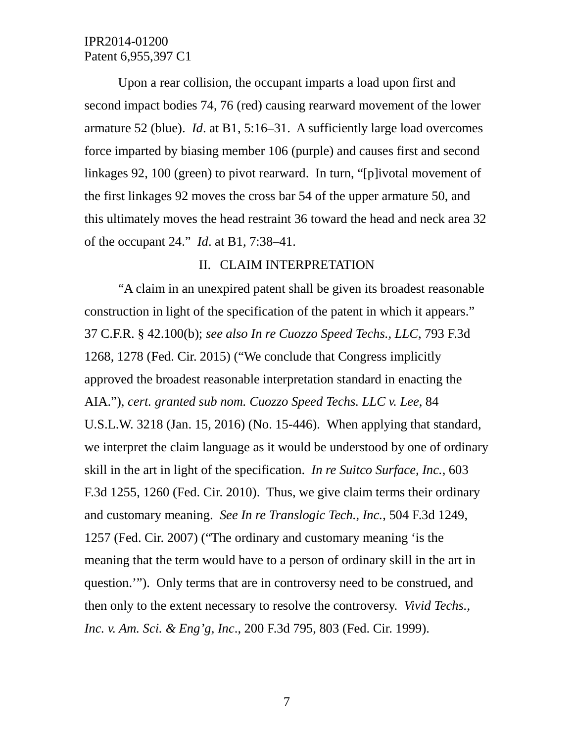Upon a rear collision, the occupant imparts a load upon first and second impact bodies 74, 76 (red) causing rearward movement of the lower armature 52 (blue). *Id*. at B1, 5:16–31. A sufficiently large load overcomes force imparted by biasing member 106 (purple) and causes first and second linkages 92, 100 (green) to pivot rearward. In turn, "[p]ivotal movement of the first linkages 92 moves the cross bar 54 of the upper armature 50, and this ultimately moves the head restraint 36 toward the head and neck area 32 of the occupant 24." *Id*. at B1, 7:38–41.

## II. CLAIM INTERPRETATION

"A claim in an unexpired patent shall be given its broadest reasonable construction in light of the specification of the patent in which it appears." 37 C.F.R. § 42.100(b); *see also In re Cuozzo Speed Techs., LLC*, 793 F.3d 1268, 1278 (Fed. Cir. 2015) ("We conclude that Congress implicitly approved the broadest reasonable interpretation standard in enacting the AIA."), *cert. granted sub nom. Cuozzo Speed Techs. LLC v. Lee*, 84 U.S.L.W. 3218 (Jan. 15, 2016) (No. 15-446). When applying that standard, we interpret the claim language as it would be understood by one of ordinary skill in the art in light of the specification. *In re Suitco Surface, Inc.*, 603 F.3d 1255, 1260 (Fed. Cir. 2010). Thus, we give claim terms their ordinary and customary meaning. *See In re Translogic Tech., Inc.*, 504 F.3d 1249, 1257 (Fed. Cir. 2007) ("The ordinary and customary meaning 'is the meaning that the term would have to a person of ordinary skill in the art in question.'"). Only terms that are in controversy need to be construed, and then only to the extent necessary to resolve the controversy. *Vivid Techs., Inc. v. Am. Sci. & Eng'g, Inc*., 200 F.3d 795, 803 (Fed. Cir. 1999).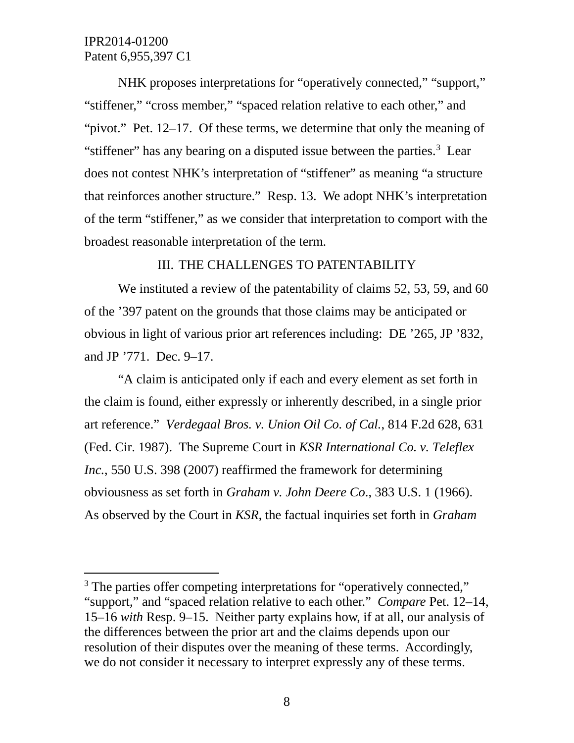NHK proposes interpretations for "operatively connected," "support," "stiffener," "cross member," "spaced relation relative to each other," and "pivot." Pet. 12–17. Of these terms, we determine that only the meaning of "stiffener" has any bearing on a disputed issue between the parties. $3$  Lear does not contest NHK's interpretation of "stiffener" as meaning "a structure that reinforces another structure." Resp. 13. We adopt NHK's interpretation of the term "stiffener," as we consider that interpretation to comport with the broadest reasonable interpretation of the term.

## III. THE CHALLENGES TO PATENTABILITY

We instituted a review of the patentability of claims 52, 53, 59, and 60 of the '397 patent on the grounds that those claims may be anticipated or obvious in light of various prior art references including: DE '265, JP '832, and JP '771. Dec. 9–17.

"A claim is anticipated only if each and every element as set forth in the claim is found, either expressly or inherently described, in a single prior art reference." *Verdegaal Bros. v. Union Oil Co. of Cal.*, 814 F.2d 628, 631 (Fed. Cir. 1987). The Supreme Court in *KSR International Co. v. Teleflex Inc.*, 550 U.S. 398 (2007) reaffirmed the framework for determining obviousness as set forth in *Graham v. John Deere Co*., 383 U.S. 1 (1966). As observed by the Court in *KSR*, the factual inquiries set forth in *Graham*

<span id="page-7-0"></span><sup>&</sup>lt;sup>3</sup> The parties offer competing interpretations for "operatively connected," "support," and "spaced relation relative to each other." *Compare* Pet. 12–14, 15–16 *with* Resp. 9–15. Neither party explains how, if at all, our analysis of the differences between the prior art and the claims depends upon our resolution of their disputes over the meaning of these terms. Accordingly, we do not consider it necessary to interpret expressly any of these terms.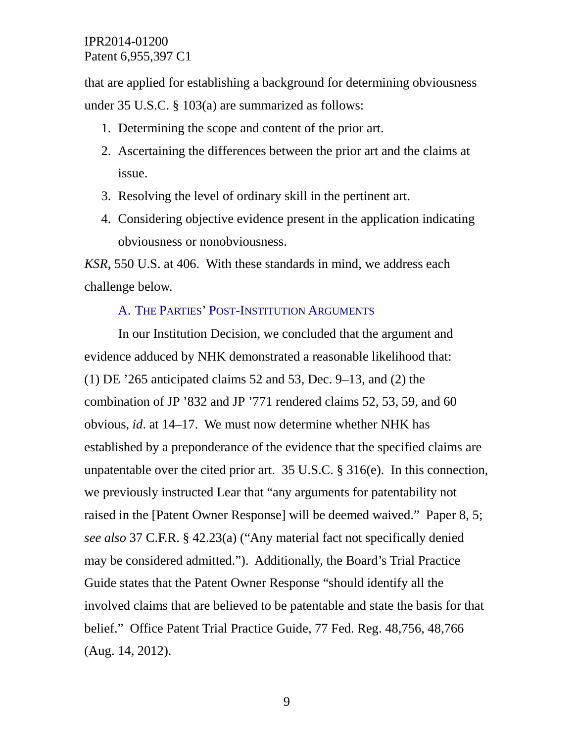that are applied for establishing a background for determining obviousness under 35 U.S.C. § 103(a) are summarized as follows:

- 1. Determining the scope and content of the prior art.
- 2. Ascertaining the differences between the prior art and the claims at issue.
- 3. Resolving the level of ordinary skill in the pertinent art.
- 4. Considering objective evidence present in the application indicating obviousness or nonobviousness.

*KSR*, 550 U.S. at 406. With these standards in mind, we address each challenge below.

## A. THE PARTIES' POST-INSTITUTION ARGUMENTS

In our Institution Decision, we concluded that the argument and evidence adduced by NHK demonstrated a reasonable likelihood that: (1) DE '265 anticipated claims 52 and 53, Dec. 9–13, and (2) the combination of JP '832 and JP '771 rendered claims 52, 53, 59, and 60 obvious, *id*. at 14–17. We must now determine whether NHK has established by a preponderance of the evidence that the specified claims are unpatentable over the cited prior art. 35 U.S.C. § 316(e). In this connection, we previously instructed Lear that "any arguments for patentability not raised in the [Patent Owner Response] will be deemed waived." Paper 8, 5; *see also* 37 C.F.R. § 42.23(a) ("Any material fact not specifically denied may be considered admitted."). Additionally, the Board's Trial Practice Guide states that the Patent Owner Response "should identify all the involved claims that are believed to be patentable and state the basis for that belief." Office Patent Trial Practice Guide, 77 Fed. Reg. 48,756, 48,766 (Aug. 14, 2012).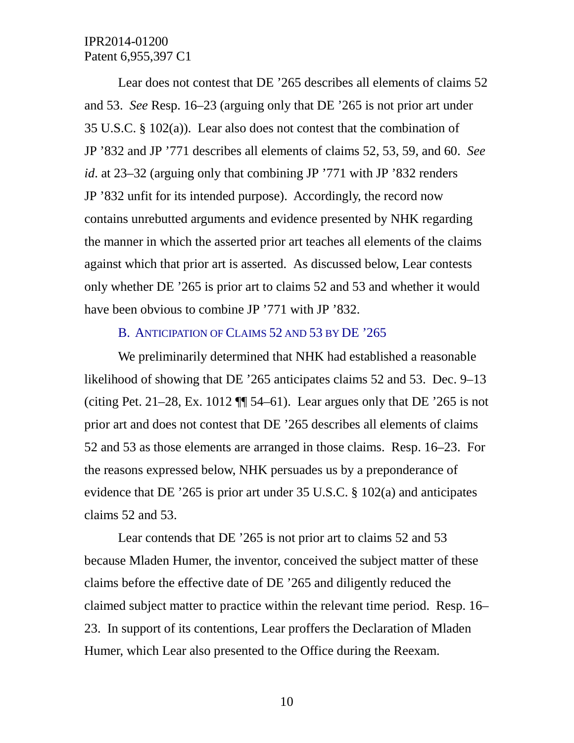Lear does not contest that DE '265 describes all elements of claims 52 and 53. *See* Resp. 16–23 (arguing only that DE '265 is not prior art under 35 U.S.C. § 102(a)). Lear also does not contest that the combination of JP '832 and JP '771 describes all elements of claims 52, 53, 59, and 60. *See id*. at 23–32 (arguing only that combining JP '771 with JP '832 renders JP '832 unfit for its intended purpose). Accordingly, the record now contains unrebutted arguments and evidence presented by NHK regarding the manner in which the asserted prior art teaches all elements of the claims against which that prior art is asserted. As discussed below, Lear contests only whether DE '265 is prior art to claims 52 and 53 and whether it would have been obvious to combine JP '771 with JP '832.

#### B. ANTICIPATION OF CLAIMS 52 AND 53 BY DE '265

We preliminarily determined that NHK had established a reasonable likelihood of showing that DE '265 anticipates claims 52 and 53. Dec. 9–13 (citing Pet. 21–28, Ex. 1012  $\P$  54–61). Lear argues only that DE '265 is not prior art and does not contest that DE '265 describes all elements of claims 52 and 53 as those elements are arranged in those claims. Resp. 16–23. For the reasons expressed below, NHK persuades us by a preponderance of evidence that DE '265 is prior art under 35 U.S.C. § 102(a) and anticipates claims 52 and 53.

Lear contends that DE '265 is not prior art to claims 52 and 53 because Mladen Humer, the inventor, conceived the subject matter of these claims before the effective date of DE '265 and diligently reduced the claimed subject matter to practice within the relevant time period. Resp. 16– 23. In support of its contentions, Lear proffers the Declaration of Mladen Humer, which Lear also presented to the Office during the Reexam.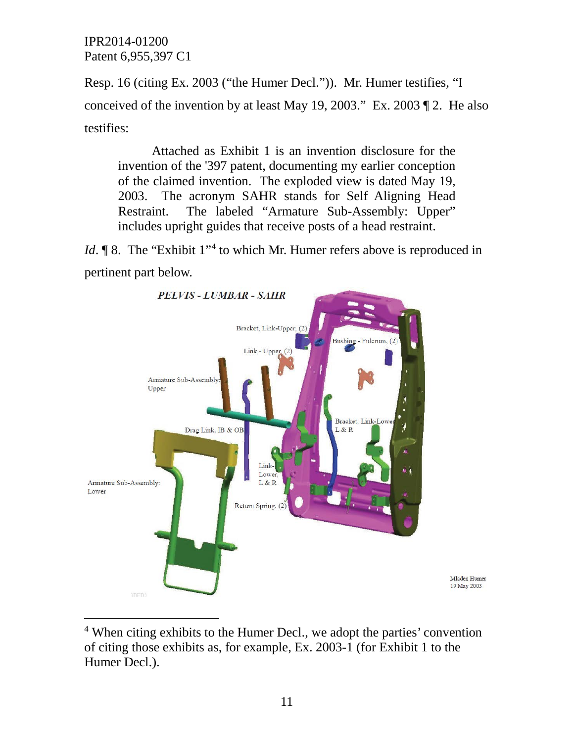Resp. 16 (citing Ex. 2003 ("the Humer Decl.")). Mr. Humer testifies, "I conceived of the invention by at least May 19, 2003." Ex. 2003 ¶ 2. He also testifies:

Attached as Exhibit 1 is an invention disclosure for the invention of the '397 patent, documenting my earlier conception of the claimed invention. The exploded view is dated May 19, 2003. The acronym SAHR stands for Self Aligning Head Restraint. The labeled "Armature Sub-Assembly: Upper" includes upright guides that receive posts of a head restraint.

*Id*. **¶** 8. The "Exhibit 1"<sup>[4](#page-10-0)</sup> to which Mr. Humer refers above is reproduced in pertinent part below.



<span id="page-10-0"></span><sup>&</sup>lt;sup>4</sup> When citing exhibits to the Humer Decl., we adopt the parties' convention of citing those exhibits as, for example, Ex. 2003-1 (for Exhibit 1 to the Humer Decl.).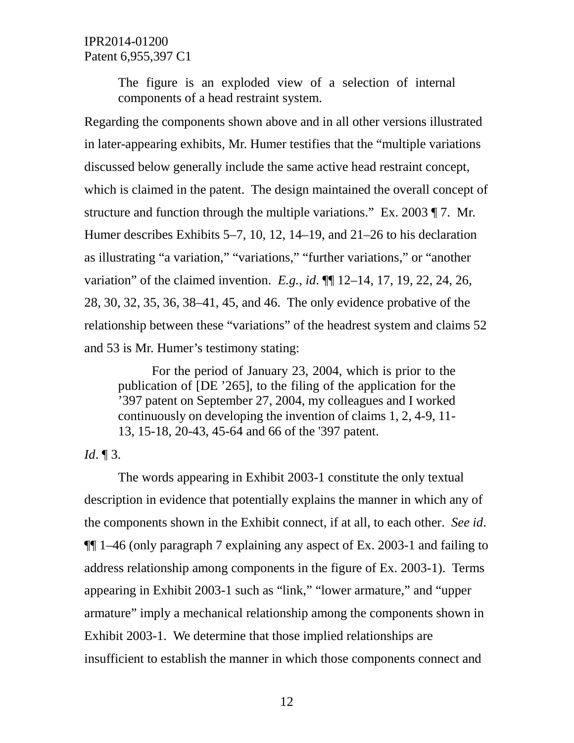> The figure is an exploded view of a selection of internal components of a head restraint system.

Regarding the components shown above and in all other versions illustrated in later-appearing exhibits, Mr. Humer testifies that the "multiple variations discussed below generally include the same active head restraint concept, which is claimed in the patent. The design maintained the overall concept of structure and function through the multiple variations." Ex. 2003 ¶ 7. Mr. Humer describes Exhibits 5–7, 10, 12, 14–19, and 21–26 to his declaration as illustrating "a variation," "variations," "further variations," or "another variation" of the claimed invention. *E.g.*, *id*. ¶¶ 12–14, 17, 19, 22, 24, 26, 28, 30, 32, 35, 36, 38–41, 45, and 46. The only evidence probative of the relationship between these "variations" of the headrest system and claims 52 and 53 is Mr. Humer's testimony stating:

For the period of January 23, 2004, which is prior to the publication of [DE '265], to the filing of the application for the '397 patent on September 27, 2004, my colleagues and I worked continuously on developing the invention of claims 1, 2, 4-9, 11- 13, 15-18, 20-43, 45-64 and 66 of the '397 patent.

### *Id*. ¶ 3.

The words appearing in Exhibit 2003-1 constitute the only textual description in evidence that potentially explains the manner in which any of the components shown in the Exhibit connect, if at all, to each other. *See id*. ¶¶ 1–46 (only paragraph 7 explaining any aspect of Ex. 2003-1 and failing to address relationship among components in the figure of Ex. 2003-1). Terms appearing in Exhibit 2003-1 such as "link," "lower armature," and "upper armature" imply a mechanical relationship among the components shown in Exhibit 2003-1. We determine that those implied relationships are insufficient to establish the manner in which those components connect and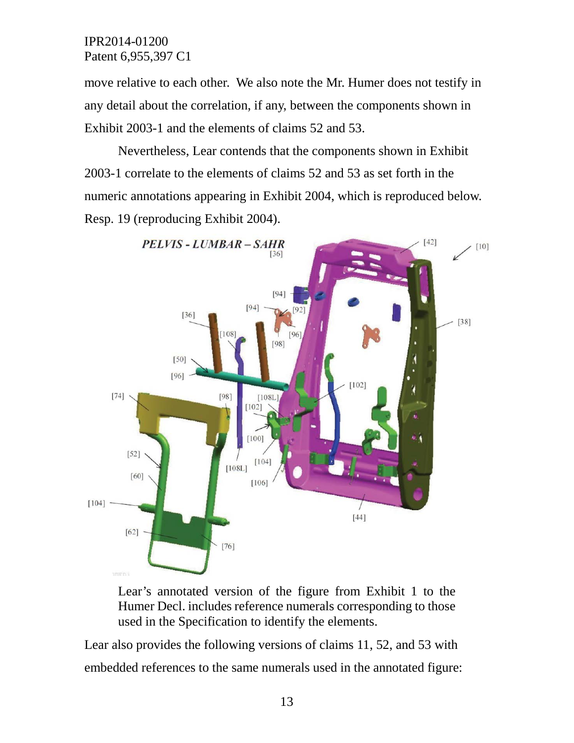move relative to each other. We also note the Mr. Humer does not testify in any detail about the correlation, if any, between the components shown in Exhibit 2003-1 and the elements of claims 52 and 53.

Nevertheless, Lear contends that the components shown in Exhibit 2003-1 correlate to the elements of claims 52 and 53 as set forth in the numeric annotations appearing in Exhibit 2004, which is reproduced below. Resp. 19 (reproducing Exhibit 2004).



Lear's annotated version of the figure from Exhibit 1 to the Humer Decl. includes reference numerals corresponding to those used in the Specification to identify the elements.

Lear also provides the following versions of claims 11, 52, and 53 with embedded references to the same numerals used in the annotated figure: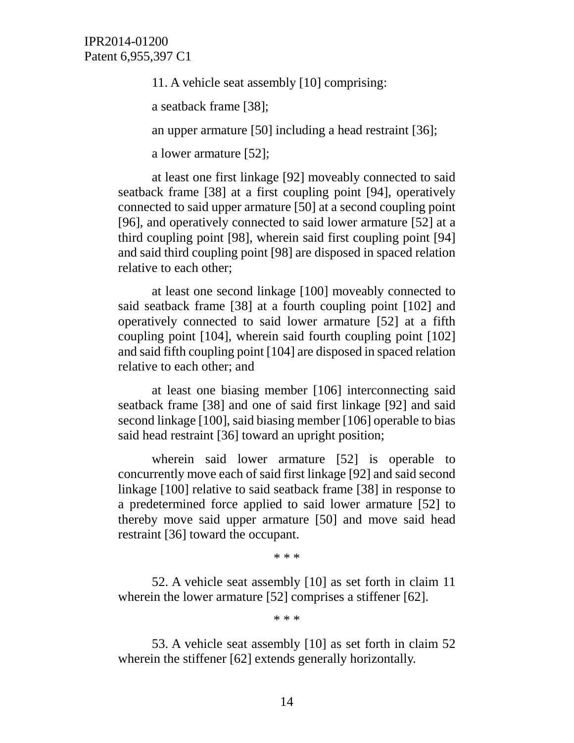11. A vehicle seat assembly [10] comprising:

a seatback frame [38];

an upper armature [50] including a head restraint [36];

a lower armature [52];

at least one first linkage [92] moveably connected to said seatback frame [38] at a first coupling point [94], operatively connected to said upper armature [50] at a second coupling point [96], and operatively connected to said lower armature [52] at a third coupling point [98], wherein said first coupling point [94] and said third coupling point [98] are disposed in spaced relation relative to each other;

at least one second linkage [100] moveably connected to said seatback frame [38] at a fourth coupling point [102] and operatively connected to said lower armature [52] at a fifth coupling point [104], wherein said fourth coupling point [102] and said fifth coupling point [104] are disposed in spaced relation relative to each other; and

at least one biasing member [106] interconnecting said seatback frame [38] and one of said first linkage [92] and said second linkage [100], said biasing member [106] operable to bias said head restraint [36] toward an upright position;

wherein said lower armature [52] is operable to concurrently move each of said first linkage [92] and said second linkage [100] relative to said seatback frame [38] in response to a predetermined force applied to said lower armature [52] to thereby move said upper armature [50] and move said head restraint [36] toward the occupant.

\* \* \*

52. A vehicle seat assembly [10] as set forth in claim 11 wherein the lower armature [52] comprises a stiffener [62].

\* \* \*

53. A vehicle seat assembly [10] as set forth in claim 52 wherein the stiffener [62] extends generally horizontally.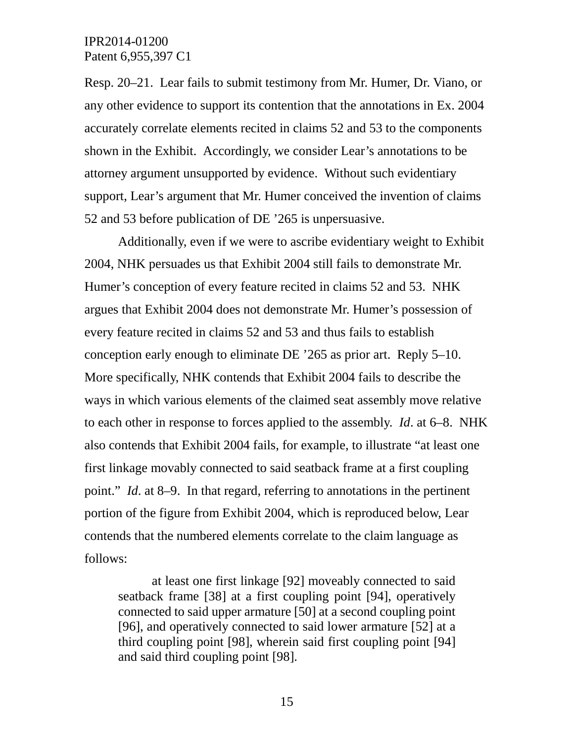Resp. 20–21. Lear fails to submit testimony from Mr. Humer, Dr. Viano, or any other evidence to support its contention that the annotations in Ex. 2004 accurately correlate elements recited in claims 52 and 53 to the components shown in the Exhibit. Accordingly, we consider Lear's annotations to be attorney argument unsupported by evidence. Without such evidentiary support, Lear's argument that Mr. Humer conceived the invention of claims 52 and 53 before publication of DE '265 is unpersuasive.

Additionally, even if we were to ascribe evidentiary weight to Exhibit 2004, NHK persuades us that Exhibit 2004 still fails to demonstrate Mr. Humer's conception of every feature recited in claims 52 and 53. NHK argues that Exhibit 2004 does not demonstrate Mr. Humer's possession of every feature recited in claims 52 and 53 and thus fails to establish conception early enough to eliminate DE '265 as prior art. Reply 5–10. More specifically, NHK contends that Exhibit 2004 fails to describe the ways in which various elements of the claimed seat assembly move relative to each other in response to forces applied to the assembly. *Id*. at 6–8. NHK also contends that Exhibit 2004 fails, for example, to illustrate "at least one first linkage movably connected to said seatback frame at a first coupling point." *Id*. at 8–9. In that regard, referring to annotations in the pertinent portion of the figure from Exhibit 2004, which is reproduced below, Lear contends that the numbered elements correlate to the claim language as follows:

at least one first linkage [92] moveably connected to said seatback frame [38] at a first coupling point [94], operatively connected to said upper armature [50] at a second coupling point [96], and operatively connected to said lower armature [52] at a third coupling point [98], wherein said first coupling point [94] and said third coupling point [98].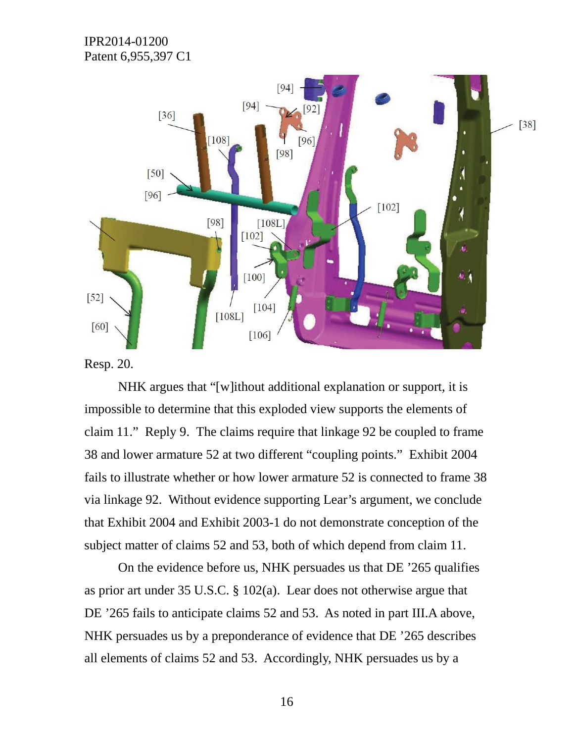

Resp. 20.

NHK argues that "[w]ithout additional explanation or support, it is impossible to determine that this exploded view supports the elements of claim 11." Reply 9. The claims require that linkage 92 be coupled to frame 38 and lower armature 52 at two different "coupling points." Exhibit 2004 fails to illustrate whether or how lower armature 52 is connected to frame 38 via linkage 92. Without evidence supporting Lear's argument, we conclude that Exhibit 2004 and Exhibit 2003-1 do not demonstrate conception of the subject matter of claims 52 and 53, both of which depend from claim 11.

On the evidence before us, NHK persuades us that DE '265 qualifies as prior art under 35 U.S.C. § 102(a). Lear does not otherwise argue that DE '265 fails to anticipate claims 52 and 53. As noted in part III.A above, NHK persuades us by a preponderance of evidence that DE '265 describes all elements of claims 52 and 53. Accordingly, NHK persuades us by a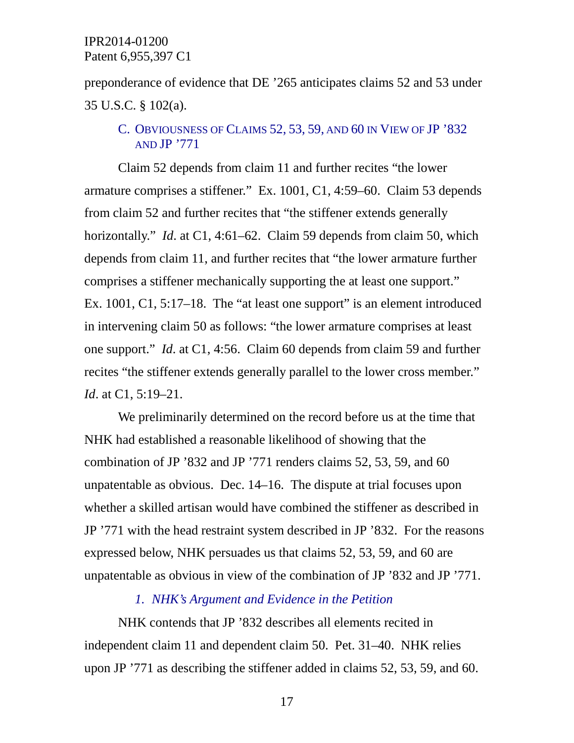preponderance of evidence that DE '265 anticipates claims 52 and 53 under 35 U.S.C. § 102(a).

## C. OBVIOUSNESS OF CLAIMS 52, 53, 59, AND 60 IN VIEW OF JP '832 AND JP '771

Claim 52 depends from claim 11 and further recites "the lower armature comprises a stiffener." Ex. 1001, C1, 4:59–60. Claim 53 depends from claim 52 and further recites that "the stiffener extends generally horizontally." *Id.* at C1, 4:61–62. Claim 59 depends from claim 50, which depends from claim 11, and further recites that "the lower armature further comprises a stiffener mechanically supporting the at least one support." Ex. 1001, C1, 5:17–18. The "at least one support" is an element introduced in intervening claim 50 as follows: "the lower armature comprises at least one support." *Id*. at C1, 4:56. Claim 60 depends from claim 59 and further recites "the stiffener extends generally parallel to the lower cross member." *Id*. at C1, 5:19–21.

We preliminarily determined on the record before us at the time that NHK had established a reasonable likelihood of showing that the combination of JP '832 and JP '771 renders claims 52, 53, 59, and 60 unpatentable as obvious. Dec. 14–16. The dispute at trial focuses upon whether a skilled artisan would have combined the stiffener as described in JP '771 with the head restraint system described in JP '832. For the reasons expressed below, NHK persuades us that claims 52, 53, 59, and 60 are unpatentable as obvious in view of the combination of JP '832 and JP '771.

## *1. NHK's Argument and Evidence in the Petition*

NHK contends that JP '832 describes all elements recited in independent claim 11 and dependent claim 50. Pet. 31–40. NHK relies upon JP '771 as describing the stiffener added in claims 52, 53, 59, and 60.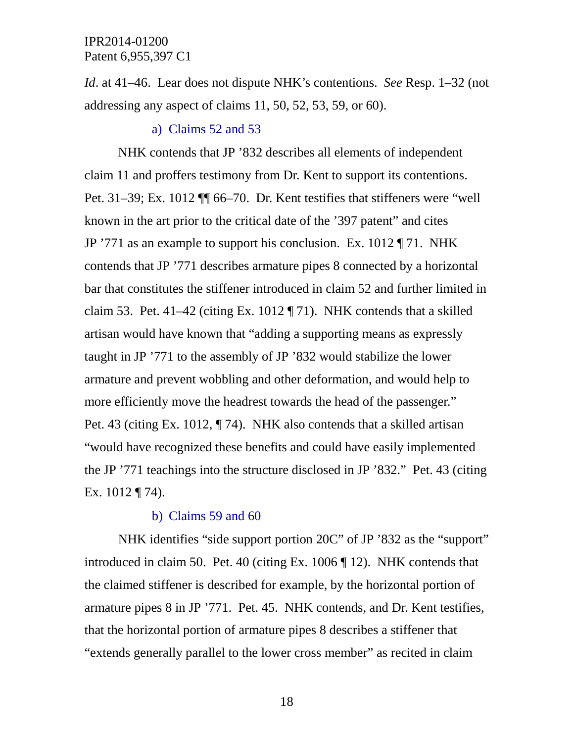*Id*. at 41–46. Lear does not dispute NHK's contentions. *See* Resp. 1–32 (not addressing any aspect of claims 11, 50, 52, 53, 59, or 60).

#### a) Claims 52 and 53

NHK contends that JP '832 describes all elements of independent claim 11 and proffers testimony from Dr. Kent to support its contentions. Pet. 31–39; Ex. 1012 ¶¶ 66–70. Dr. Kent testifies that stiffeners were "well known in the art prior to the critical date of the '397 patent" and cites JP '771 as an example to support his conclusion. Ex. 1012 ¶ 71. NHK contends that JP '771 describes armature pipes 8 connected by a horizontal bar that constitutes the stiffener introduced in claim 52 and further limited in claim 53. Pet. 41–42 (citing Ex. 1012 ¶ 71). NHK contends that a skilled artisan would have known that "adding a supporting means as expressly taught in JP '771 to the assembly of JP '832 would stabilize the lower armature and prevent wobbling and other deformation, and would help to more efficiently move the headrest towards the head of the passenger." Pet. 43 (citing Ex. 1012, ¶ 74). NHK also contends that a skilled artisan "would have recognized these benefits and could have easily implemented the JP '771 teachings into the structure disclosed in JP '832." Pet. 43 (citing Ex. 1012 ¶ 74).

#### b) Claims 59 and 60

NHK identifies "side support portion 20C" of JP '832 as the "support" introduced in claim 50. Pet. 40 (citing Ex. 1006 ¶ 12). NHK contends that the claimed stiffener is described for example, by the horizontal portion of armature pipes 8 in JP '771. Pet. 45. NHK contends, and Dr. Kent testifies, that the horizontal portion of armature pipes 8 describes a stiffener that "extends generally parallel to the lower cross member" as recited in claim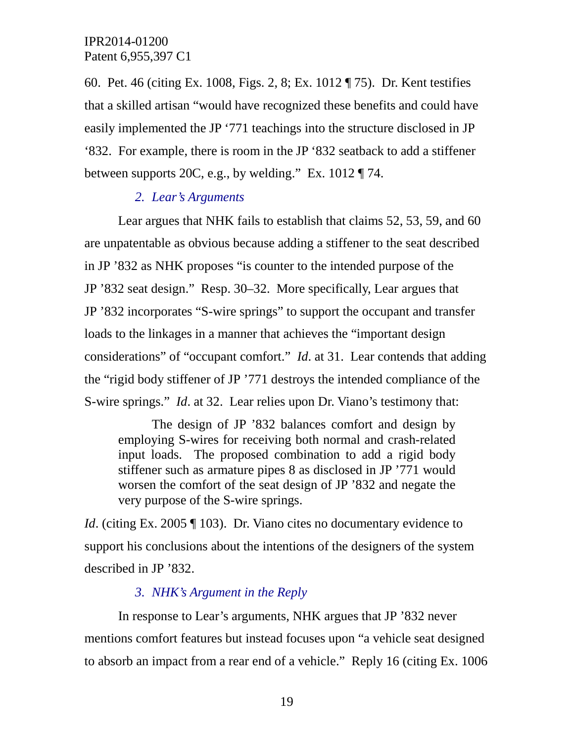60. Pet. 46 (citing Ex. 1008, Figs. 2, 8; Ex. 1012 ¶ 75). Dr. Kent testifies that a skilled artisan "would have recognized these benefits and could have easily implemented the JP '771 teachings into the structure disclosed in JP '832. For example, there is room in the JP '832 seatback to add a stiffener between supports 20C, e.g., by welding." Ex. 1012 ¶ 74.

## *2. Lear's Arguments*

Lear argues that NHK fails to establish that claims 52, 53, 59, and 60 are unpatentable as obvious because adding a stiffener to the seat described in JP '832 as NHK proposes "is counter to the intended purpose of the JP '832 seat design." Resp. 30–32. More specifically, Lear argues that JP '832 incorporates "S-wire springs" to support the occupant and transfer loads to the linkages in a manner that achieves the "important design considerations" of "occupant comfort." *Id*. at 31. Lear contends that adding the "rigid body stiffener of JP '771 destroys the intended compliance of the S-wire springs." *Id*. at 32. Lear relies upon Dr. Viano's testimony that:

The design of JP '832 balances comfort and design by employing S-wires for receiving both normal and crash-related input loads. The proposed combination to add a rigid body stiffener such as armature pipes 8 as disclosed in JP '771 would worsen the comfort of the seat design of JP '832 and negate the very purpose of the S-wire springs.

*Id.* (citing Ex. 2005 ¶ 103). Dr. Viano cites no documentary evidence to support his conclusions about the intentions of the designers of the system described in JP '832.

## *3. NHK's Argument in the Reply*

In response to Lear's arguments, NHK argues that JP '832 never mentions comfort features but instead focuses upon "a vehicle seat designed to absorb an impact from a rear end of a vehicle." Reply 16 (citing Ex. 1006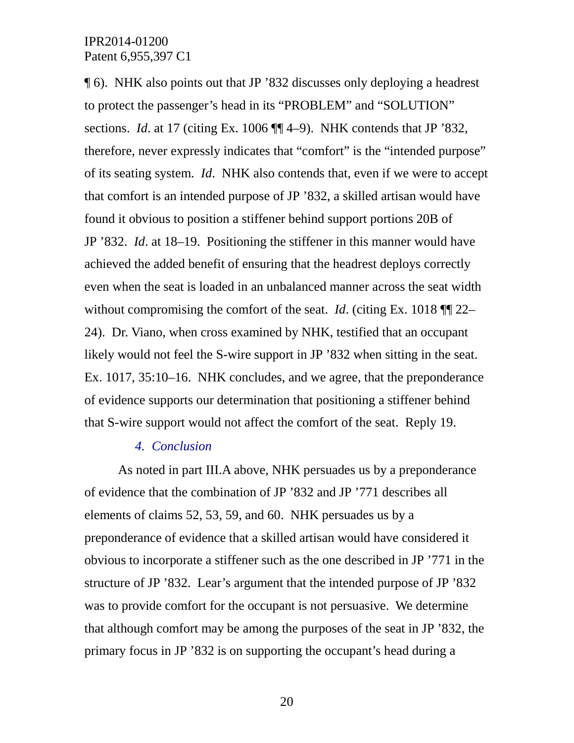¶ 6). NHK also points out that JP '832 discusses only deploying a headrest to protect the passenger's head in its "PROBLEM" and "SOLUTION" sections. *Id*. at 17 (citing Ex. 1006 ¶¶ 4–9). NHK contends that JP '832, therefore, never expressly indicates that "comfort" is the "intended purpose" of its seating system. *Id*. NHK also contends that, even if we were to accept that comfort is an intended purpose of JP '832, a skilled artisan would have found it obvious to position a stiffener behind support portions 20B of JP '832. *Id*. at 18–19. Positioning the stiffener in this manner would have achieved the added benefit of ensuring that the headrest deploys correctly even when the seat is loaded in an unbalanced manner across the seat width without compromising the comfort of the seat. *Id*. (citing Ex. 1018 ¶¶ 22– 24). Dr. Viano, when cross examined by NHK, testified that an occupant likely would not feel the S-wire support in JP '832 when sitting in the seat. Ex. 1017, 35:10–16. NHK concludes, and we agree, that the preponderance of evidence supports our determination that positioning a stiffener behind that S-wire support would not affect the comfort of the seat. Reply 19.

## *4. Conclusion*

As noted in part III.A above, NHK persuades us by a preponderance of evidence that the combination of JP '832 and JP '771 describes all elements of claims 52, 53, 59, and 60. NHK persuades us by a preponderance of evidence that a skilled artisan would have considered it obvious to incorporate a stiffener such as the one described in JP '771 in the structure of JP '832. Lear's argument that the intended purpose of JP '832 was to provide comfort for the occupant is not persuasive. We determine that although comfort may be among the purposes of the seat in JP '832, the primary focus in JP '832 is on supporting the occupant's head during a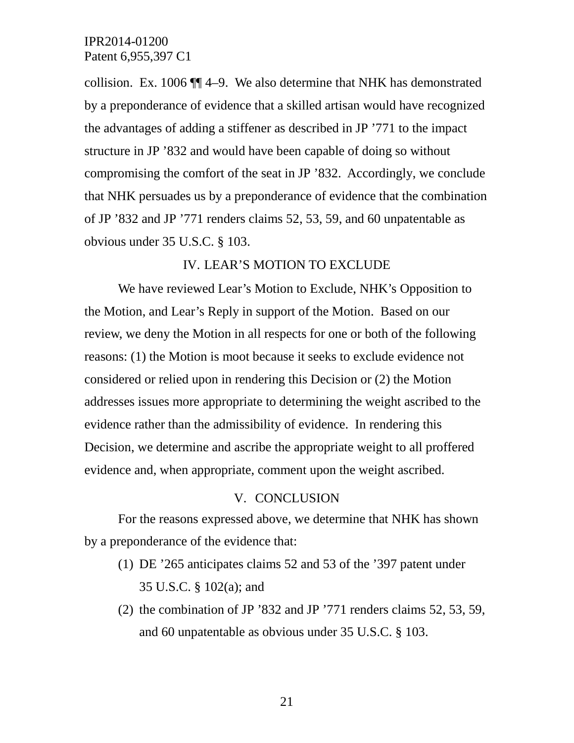collision. Ex. 1006 ¶¶ 4–9. We also determine that NHK has demonstrated by a preponderance of evidence that a skilled artisan would have recognized the advantages of adding a stiffener as described in JP '771 to the impact structure in JP '832 and would have been capable of doing so without compromising the comfort of the seat in JP '832. Accordingly, we conclude that NHK persuades us by a preponderance of evidence that the combination of JP '832 and JP '771 renders claims 52, 53, 59, and 60 unpatentable as obvious under 35 U.S.C. § 103.

#### IV. LEAR'S MOTION TO EXCLUDE

We have reviewed Lear's Motion to Exclude, NHK's Opposition to the Motion, and Lear's Reply in support of the Motion. Based on our review, we deny the Motion in all respects for one or both of the following reasons: (1) the Motion is moot because it seeks to exclude evidence not considered or relied upon in rendering this Decision or (2) the Motion addresses issues more appropriate to determining the weight ascribed to the evidence rather than the admissibility of evidence. In rendering this Decision, we determine and ascribe the appropriate weight to all proffered evidence and, when appropriate, comment upon the weight ascribed.

#### V. CONCLUSION

For the reasons expressed above, we determine that NHK has shown by a preponderance of the evidence that:

- (1) DE '265 anticipates claims 52 and 53 of the '397 patent under 35 U.S.C. § 102(a); and
- (2) the combination of JP '832 and JP '771 renders claims 52, 53, 59, and 60 unpatentable as obvious under 35 U.S.C. § 103.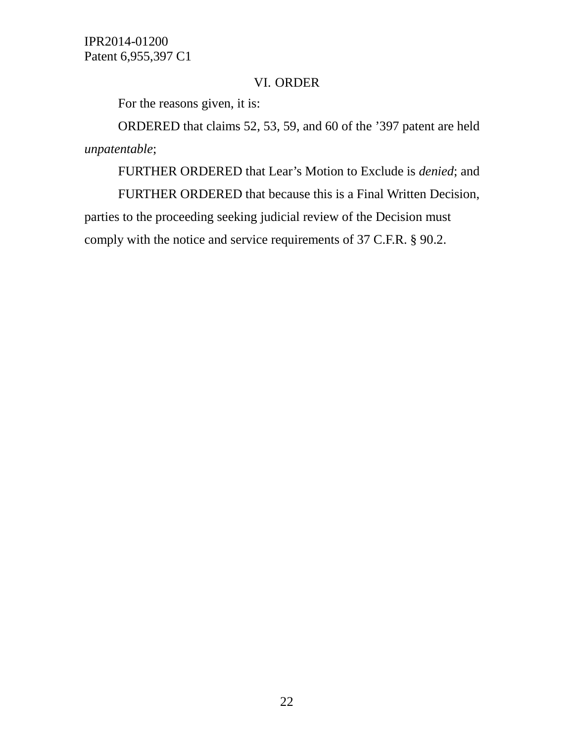### VI. ORDER

For the reasons given, it is:

ORDERED that claims 52, 53, 59, and 60 of the '397 patent are held *unpatentable*;

FURTHER ORDERED that Lear's Motion to Exclude is *denied*; and

FURTHER ORDERED that because this is a Final Written Decision, parties to the proceeding seeking judicial review of the Decision must comply with the notice and service requirements of 37 C.F.R. § 90.2.